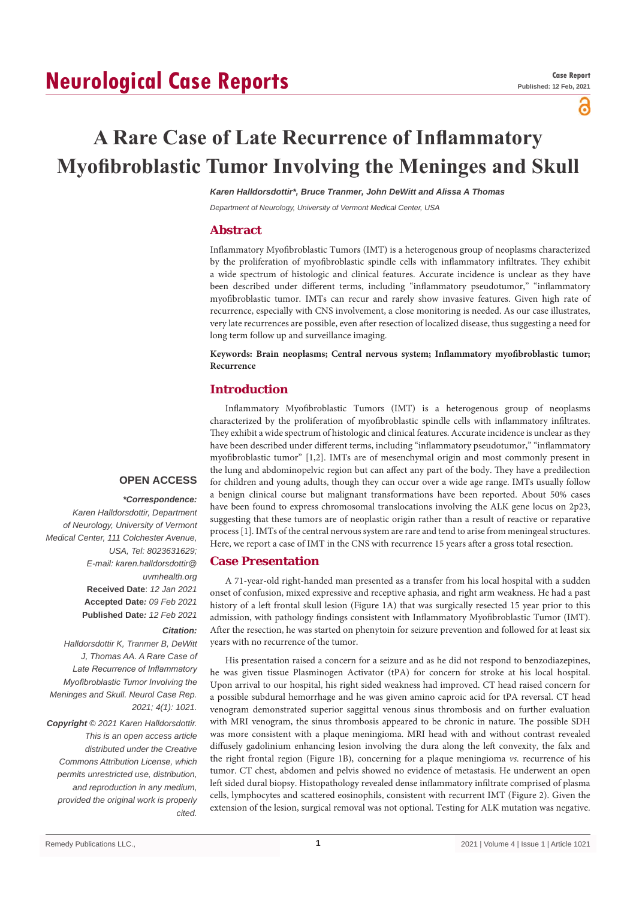# **Neurological Case Reports**

പ

# **A Rare Case of Late Recurrence of Inflammatory Myofibroblastic Tumor Involving the Meninges and Skull**

*Karen Halldorsdottir\*, Bruce Tranmer, John DeWitt and Alissa A Thomas*

*Department of Neurology, University of Vermont Medical Center, USA*

# **Abstract**

Inflammatory Myofibroblastic Tumors (IMT) is a heterogenous group of neoplasms characterized by the proliferation of myofibroblastic spindle cells with inflammatory infiltrates. They exhibit a wide spectrum of histologic and clinical features. Accurate incidence is unclear as they have been described under different terms, including "inflammatory pseudotumor," "inflammatory myofibroblastic tumor. IMTs can recur and rarely show invasive features. Given high rate of recurrence, especially with CNS involvement, a close monitoring is needed. As our case illustrates, very late recurrences are possible, even after resection of localized disease, thus suggesting a need for long term follow up and surveillance imaging.

**Keywords: Brain neoplasms; Central nervous system; Inflammatory myofibroblastic tumor; Recurrence**

# **Introduction**

Inflammatory Myofibroblastic Tumors (IMT) is a heterogenous group of neoplasms characterized by the proliferation of myofibroblastic spindle cells with inflammatory infiltrates. They exhibit a wide spectrum of histologic and clinical features. Accurate incidence is unclear as they have been described under different terms, including "inflammatory pseudotumor," "inflammatory myofibroblastic tumor" [1,2]. IMTs are of mesenchymal origin and most commonly present in the lung and abdominopelvic region but can affect any part of the body. They have a predilection for children and young adults, though they can occur over a wide age range. IMTs usually follow a benign clinical course but malignant transformations have been reported. About 50% cases have been found to express chromosomal translocations involving the ALK gene locus on 2p23, suggesting that these tumors are of neoplastic origin rather than a result of reactive or reparative process [1]. IMTs of the central nervous system are rare and tend to arise from meningeal structures. Here, we report a case of IMT in the CNS with recurrence 15 years after a gross total resection.

### **Case Presentation**

A 71-year-old right-handed man presented as a transfer from his local hospital with a sudden onset of confusion, mixed expressive and receptive aphasia, and right arm weakness. He had a past history of a left frontal skull lesion (Figure 1A) that was surgically resected 15 year prior to this admission, with pathology findings consistent with Inflammatory Myofibroblastic Tumor (IMT). After the resection, he was started on phenytoin for seizure prevention and followed for at least six years with no recurrence of the tumor.

His presentation raised a concern for a seizure and as he did not respond to benzodiazepines, he was given tissue Plasminogen Activator (tPA) for concern for stroke at his local hospital. Upon arrival to our hospital, his right sided weakness had improved. CT head raised concern for a possible subdural hemorrhage and he was given amino caproic acid for tPA reversal. CT head venogram demonstrated superior saggittal venous sinus thrombosis and on further evaluation with MRI venogram, the sinus thrombosis appeared to be chronic in nature. The possible SDH was more consistent with a plaque meningioma. MRI head with and without contrast revealed diffusely gadolinium enhancing lesion involving the dura along the left convexity, the falx and the right frontal region (Figure 1B), concerning for a plaque meningioma *vs.* recurrence of his tumor. CT chest, abdomen and pelvis showed no evidence of metastasis. He underwent an open left sided dural biopsy. Histopathology revealed dense inflammatory infiltrate comprised of plasma cells, lymphocytes and scattered eosinophils, consistent with recurrent IMT (Figure 2). Given the extension of the lesion, surgical removal was not optional. Testing for ALK mutation was negative.

# **OPEN ACCESS**

#### *\*Correspondence:*

*Karen Halldorsdottir, Department of Neurology, University of Vermont Medical Center, 111 Colchester Avenue, USA, Tel: 8023631629; E-mail: karen.halldorsdottir@ uvmhealth.org* **Received Date**: *12 Jan 2021* **Accepted Date***: 09 Feb 2021* **Published Date***: 12 Feb 2021*

### *Citation:*

*Halldorsdottir K, Tranmer B, DeWitt J, Thomas AA. A Rare Case of Late Recurrence of Inflammatory Myofibroblastic Tumor Involving the Meninges and Skull. Neurol Case Rep. 2021; 4(1): 1021.*

*Copyright © 2021 Karen Halldorsdottir. This is an open access article distributed under the Creative Commons Attribution License, which permits unrestricted use, distribution, and reproduction in any medium, provided the original work is properly cited.*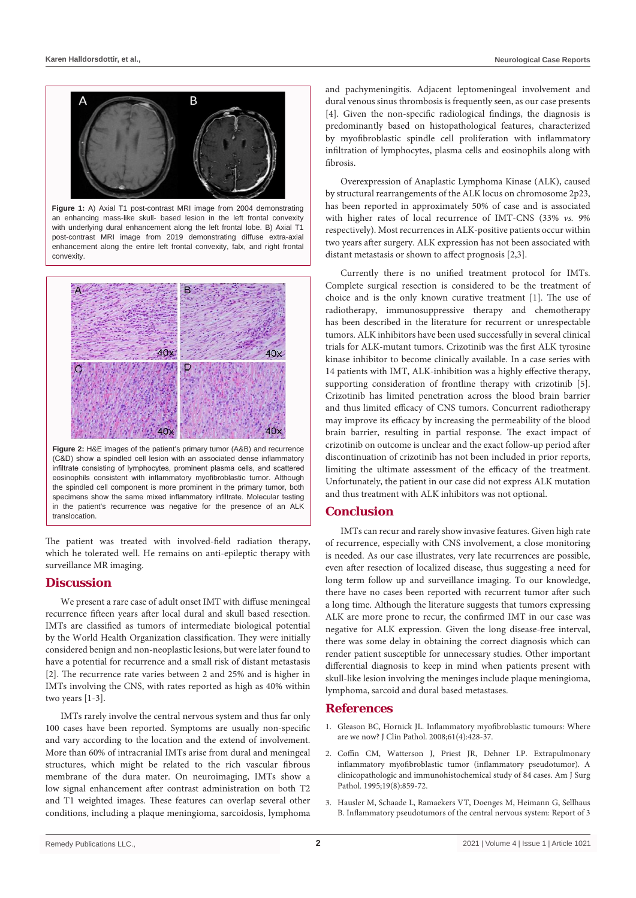

**Figure 1:** A) Axial T1 post-contrast MRI image from 2004 demonstrating an enhancing mass-like skull- based lesion in the left frontal convexity with underlying dural enhancement along the left frontal lobe. B) Axial T1 post-contrast MRI image from 2019 demonstrating diffuse extra-axial enhancement along the entire left frontal convexity, falx, and right frontal convexity.



**Figure 2:** H&E images of the patient's primary tumor (A&B) and recurrence (C&D) show a spindled cell lesion with an associated dense inflammatory infiltrate consisting of lymphocytes, prominent plasma cells, and scattered eosinophils consistent with inflammatory myofibroblastic tumor. Although the spindled cell component is more prominent in the primary tumor, both specimens show the same mixed inflammatory infiltrate. Molecular testing in the patient's recurrence was negative for the presence of an ALK translocation.

The patient was treated with involved-field radiation therapy, which he tolerated well. He remains on anti-epileptic therapy with surveillance MR imaging.

# **Discussion**

We present a rare case of adult onset IMT with diffuse meningeal recurrence fifteen years after local dural and skull based resection. IMTs are classified as tumors of intermediate biological potential by the World Health Organization classification. They were initially considered benign and non-neoplastic lesions, but were later found to have a potential for recurrence and a small risk of distant metastasis [2]. The recurrence rate varies between 2 and 25% and is higher in IMTs involving the CNS, with rates reported as high as 40% within two years [1-3].

IMTs rarely involve the central nervous system and thus far only 100 cases have been reported. Symptoms are usually non-specific and vary according to the location and the extend of involvement. More than 60% of intracranial IMTs arise from dural and meningeal structures, which might be related to the rich vascular fibrous membrane of the dura mater. On neuroimaging, IMTs show a low signal enhancement after contrast administration on both T2 and T1 weighted images. These features can overlap several other conditions, including a plaque meningioma, sarcoidosis, lymphoma

and pachymeningitis. Adjacent leptomeningeal involvement and dural venous sinus thrombosis is frequently seen, as our case presents [4]. Given the non-specific radiological findings, the diagnosis is predominantly based on histopathological features, characterized by myofibroblastic spindle cell proliferation with inflammatory infiltration of lymphocytes, plasma cells and eosinophils along with fibrosis.

Overexpression of Anaplastic Lymphoma Kinase (ALK), caused by structural rearrangements of the ALK locus on chromosome 2p23, has been reported in approximately 50% of case and is associated with higher rates of local recurrence of IMT-CNS (33% *vs.* 9% respectively). Most recurrences in ALK-positive patients occur within two years after surgery. ALK expression has not been associated with distant metastasis or shown to affect prognosis [2,3].

Currently there is no unified treatment protocol for IMTs. Complete surgical resection is considered to be the treatment of choice and is the only known curative treatment [1]. The use of radiotherapy, immunosuppressive therapy and chemotherapy has been described in the literature for recurrent or unrespectable tumors. ALK inhibitors have been used successfully in several clinical trials for ALK-mutant tumors. Crizotinib was the first ALK tyrosine kinase inhibitor to become clinically available. In a case series with 14 patients with IMT, ALK-inhibition was a highly effective therapy, supporting consideration of frontline therapy with crizotinib [5]. Crizotinib has limited penetration across the blood brain barrier and thus limited efficacy of CNS tumors. Concurrent radiotherapy may improve its efficacy by increasing the permeability of the blood brain barrier, resulting in partial response. The exact impact of crizotinib on outcome is unclear and the exact follow-up period after discontinuation of crizotinib has not been included in prior reports, limiting the ultimate assessment of the efficacy of the treatment. Unfortunately, the patient in our case did not express ALK mutation and thus treatment with ALK inhibitors was not optional.

# **Conclusion**

IMTs can recur and rarely show invasive features. Given high rate of recurrence, especially with CNS involvement, a close monitoring is needed. As our case illustrates, very late recurrences are possible, even after resection of localized disease, thus suggesting a need for long term follow up and surveillance imaging. To our knowledge, there have no cases been reported with recurrent tumor after such a long time. Although the literature suggests that tumors expressing ALK are more prone to recur, the confirmed IMT in our case was negative for ALK expression. Given the long disease-free interval, there was some delay in obtaining the correct diagnosis which can render patient susceptible for unnecessary studies. Other important differential diagnosis to keep in mind when patients present with skull-like lesion involving the meninges include plaque meningioma, lymphoma, sarcoid and dural based metastases.

#### **References**

- 1. [Gleason BC, Hornick JL. Inflammatory myofibroblastic tumours: Where](https://pubmed.ncbi.nlm.nih.gov/17938159/)  [are we now? J Clin Pathol. 2008;61\(4\):428-37.](https://pubmed.ncbi.nlm.nih.gov/17938159/)
- 2. [Coffin CM, Watterson J, Priest JR, Dehner LP. Extrapulmonary](https://pubmed.ncbi.nlm.nih.gov/7611533/)  [inflammatory myofibroblastic tumor \(inflammatory pseudotumor\). A](https://pubmed.ncbi.nlm.nih.gov/7611533/)  [clinicopathologic and immunohistochemical study of 84 cases. Am J Surg](https://pubmed.ncbi.nlm.nih.gov/7611533/)  [Pathol. 1995;19\(8\):859-72.](https://pubmed.ncbi.nlm.nih.gov/7611533/)
- 3. [Hausler M, Schaade L, Ramaekers VT, Doenges M, Heimann G, Sellhaus](https://pubmed.ncbi.nlm.nih.gov/12673560/)  [B. Inflammatory pseudotumors of the central nervous system: Report of 3](https://pubmed.ncbi.nlm.nih.gov/12673560/)